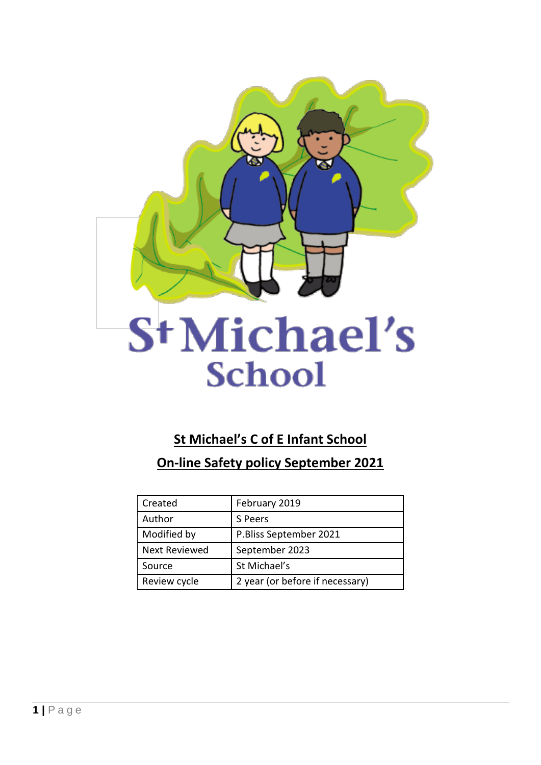

# St Michael's **School**

# **St Michael's C of E Infant School**

**On-line Safety policy September 2021**

| Created              | February 2019                   |
|----------------------|---------------------------------|
| Author               | S Peers                         |
| Modified by          | P.Bliss September 2021          |
| <b>Next Reviewed</b> | September 2023                  |
| Source               | St Michael's                    |
| Review cycle         | 2 year (or before if necessary) |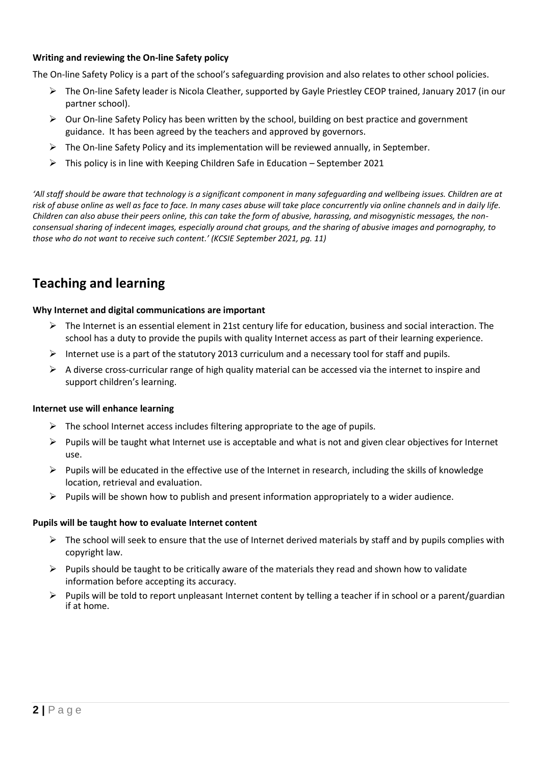# **Writing and reviewing the On-line Safety policy**

The On-line Safety Policy is a part of the school's safeguarding provision and also relates to other school policies.

- The On-line Safety leader is Nicola Cleather, supported by Gayle Priestley CEOP trained, January 2017 (in our partner school).
- $\triangleright$  Our On-line Safety Policy has been written by the school, building on best practice and government guidance. It has been agreed by the teachers and approved by governors.
- $\triangleright$  The On-line Safety Policy and its implementation will be reviewed annually, in September.
- $\triangleright$  This policy is in line with Keeping Children Safe in Education September 2021

*'All staff should be aware that technology is a significant component in many safeguarding and wellbeing issues. Children are at risk of abuse online as well as face to face. In many cases abuse will take place concurrently via online channels and in daily life. Children can also abuse their peers online, this can take the form of abusive, harassing, and misogynistic messages, the nonconsensual sharing of indecent images, especially around chat groups, and the sharing of abusive images and pornography, to those who do not want to receive such content.' (KCSIE September 2021, pg. 11)*

# **Teaching and learning**

#### **Why Internet and digital communications are important**

- $\triangleright$  The Internet is an essential element in 21st century life for education, business and social interaction. The school has a duty to provide the pupils with quality Internet access as part of their learning experience.
- Internet use is a part of the statutory 2013 curriculum and a necessary tool for staff and pupils.
- $\triangleright$  A diverse cross-curricular range of high quality material can be accessed via the internet to inspire and support children's learning.

#### **Internet use will enhance learning**

- $\triangleright$  The school Internet access includes filtering appropriate to the age of pupils.
- $\triangleright$  Pupils will be taught what Internet use is acceptable and what is not and given clear objectives for Internet use.
- $\triangleright$  Pupils will be educated in the effective use of the Internet in research, including the skills of knowledge location, retrieval and evaluation.
- $\triangleright$  Pupils will be shown how to publish and present information appropriately to a wider audience.

#### **Pupils will be taught how to evaluate Internet content**

- $\triangleright$  The school will seek to ensure that the use of Internet derived materials by staff and by pupils complies with copyright law.
- $\triangleright$  Pupils should be taught to be critically aware of the materials they read and shown how to validate information before accepting its accuracy.
- $\triangleright$  Pupils will be told to report unpleasant Internet content by telling a teacher if in school or a parent/guardian if at home.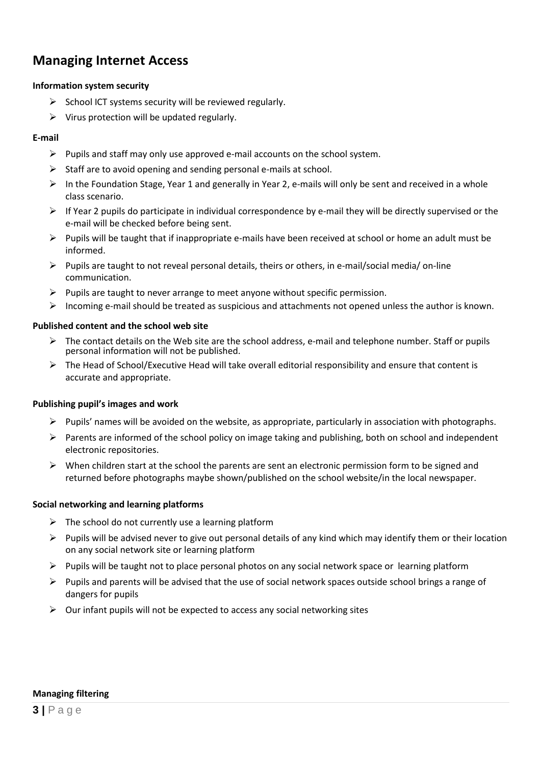# **Managing Internet Access**

# **Information system security**

- $\triangleright$  School ICT systems security will be reviewed regularly.
- $\triangleright$  Virus protection will be updated regularly.

# **E-mail**

- $\triangleright$  Pupils and staff may only use approved e-mail accounts on the school system.
- $\triangleright$  Staff are to avoid opening and sending personal e-mails at school.
- ▶ In the Foundation Stage, Year 1 and generally in Year 2, e-mails will only be sent and received in a whole class scenario.
- $\triangleright$  If Year 2 pupils do participate in individual correspondence by e-mail they will be directly supervised or the e-mail will be checked before being sent.
- $\triangleright$  Pupils will be taught that if inappropriate e-mails have been received at school or home an adult must be informed.
- $\triangleright$  Pupils are taught to not reveal personal details, theirs or others, in e-mail/social media/ on-line communication.
- $\triangleright$  Pupils are taught to never arrange to meet anyone without specific permission.
- $\triangleright$  Incoming e-mail should be treated as suspicious and attachments not opened unless the author is known.

# **Published content and the school web site**

- $\triangleright$  The contact details on the Web site are the school address, e-mail and telephone number. Staff or pupils personal information will not be published.
- $\triangleright$  The Head of School/Executive Head will take overall editorial responsibility and ensure that content is accurate and appropriate.

# **Publishing pupil's images and work**

- $\triangleright$  Pupils' names will be avoided on the website, as appropriate, particularly in association with photographs.
- $\triangleright$  Parents are informed of the school policy on image taking and publishing, both on school and independent electronic repositories.
- $\triangleright$  When children start at the school the parents are sent an electronic permission form to be signed and returned before photographs maybe shown/published on the school website/in the local newspaper.

# **Social networking and learning platforms**

- $\triangleright$  The school do not currently use a learning platform
- $\triangleright$  Pupils will be advised never to give out personal details of any kind which may identify them or their location on any social network site or learning platform
- $\triangleright$  Pupils will be taught not to place personal photos on any social network space or learning platform
- $\triangleright$  Pupils and parents will be advised that the use of social network spaces outside school brings a range of dangers for pupils
- $\triangleright$  Our infant pupils will not be expected to access any social networking sites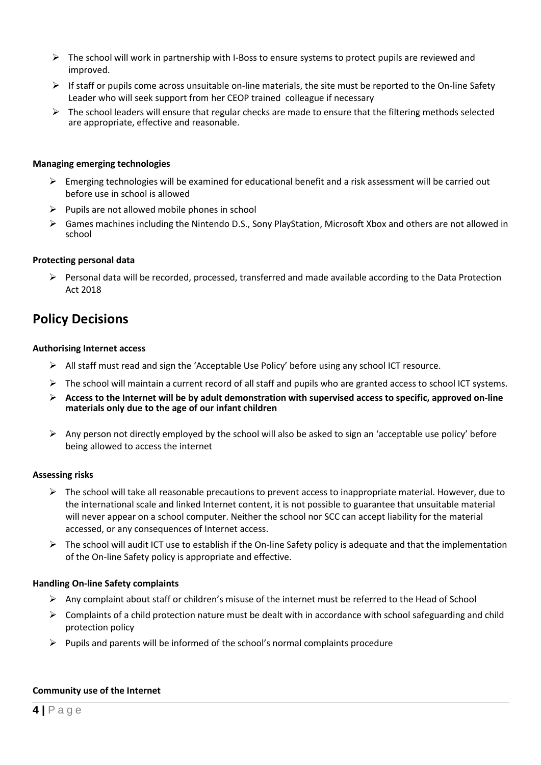- $\triangleright$  The school will work in partnership with I-Boss to ensure systems to protect pupils are reviewed and improved.
- $\triangleright$  If staff or pupils come across unsuitable on-line materials, the site must be reported to the On-line Safety Leader who will seek support from her CEOP trained colleague if necessary
- $\triangleright$  The school leaders will ensure that regular checks are made to ensure that the filtering methods selected are appropriate, effective and reasonable.

#### **Managing emerging technologies**

- $\triangleright$  Emerging technologies will be examined for educational benefit and a risk assessment will be carried out before use in school is allowed
- $\triangleright$  Pupils are not allowed mobile phones in school
- Games machines including the Nintendo D.S., Sony PlayStation, Microsoft Xbox and others are not allowed in school

#### **Protecting personal data**

 $\triangleright$  Personal data will be recorded, processed, transferred and made available according to the Data Protection Act 2018

# **Policy Decisions**

#### **Authorising Internet access**

- $\triangleright$  All staff must read and sign the 'Acceptable Use Policy' before using any school ICT resource.
- $\triangleright$  The school will maintain a current record of all staff and pupils who are granted access to school ICT systems.
- **Access to the Internet will be by adult demonstration with supervised access to specific, approved on-line materials only due to the age of our infant children**
- Any person not directly employed by the school will also be asked to sign an 'acceptable use policy' before being allowed to access the internet

# **Assessing risks**

- $\triangleright$  The school will take all reasonable precautions to prevent access to inappropriate material. However, due to the international scale and linked Internet content, it is not possible to guarantee that unsuitable material will never appear on a school computer. Neither the school nor SCC can accept liability for the material accessed, or any consequences of Internet access.
- $\triangleright$  The school will audit ICT use to establish if the On-line Safety policy is adequate and that the implementation of the On-line Safety policy is appropriate and effective.

# **Handling On-line Safety complaints**

- $\triangleright$  Any complaint about staff or children's misuse of the internet must be referred to the Head of School
- $\triangleright$  Complaints of a child protection nature must be dealt with in accordance with school safeguarding and child protection policy
- $\triangleright$  Pupils and parents will be informed of the school's normal complaints procedure

#### **Community use of the Internet**